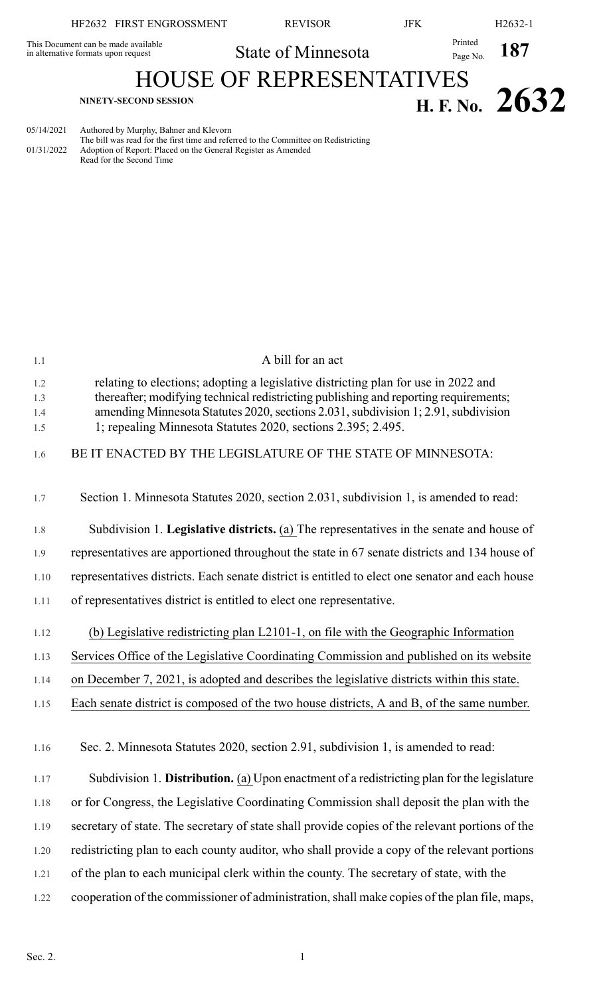| NINETY-SECOND SESSION                                                      |                                 |            | H. F. No. $2632$                             |
|----------------------------------------------------------------------------|---------------------------------|------------|----------------------------------------------|
|                                                                            | <b>HOUSE OF REPRESENTATIVES</b> |            |                                              |
| This Document can be made available<br>in alternative formats upon request | State of Minnesota              |            | $\frac{\text{Printed}}{\text{Page No.}}$ 187 |
| HF2632 FIRST ENGROSSMENT                                                   | <b>REVISOR</b>                  | <b>JFK</b> | $H2632-1$                                    |

| 05/14/2021 | Authored by Murphy, Bahner and Klevorn                                              |
|------------|-------------------------------------------------------------------------------------|
|            | The bill was read for the first time and referred to the Committee on Redistricting |
| 01/31/2022 | Adoption of Report: Placed on the General Register as Amended                       |
|            | Read for the Second Time                                                            |

| 1.1               | A bill for an act                                                                                                                                                                                                                                                |
|-------------------|------------------------------------------------------------------------------------------------------------------------------------------------------------------------------------------------------------------------------------------------------------------|
| 1.2<br>1.3<br>1.4 | relating to elections; adopting a legislative districting plan for use in 2022 and<br>thereafter; modifying technical redistricting publishing and reporting requirements;<br>amending Minnesota Statutes 2020, sections 2.031, subdivision 1; 2.91, subdivision |
| 1.5               | 1; repealing Minnesota Statutes 2020, sections 2.395; 2.495.                                                                                                                                                                                                     |
| 1.6               | BE IT ENACTED BY THE LEGISLATURE OF THE STATE OF MINNESOTA:                                                                                                                                                                                                      |
| 1.7               | Section 1. Minnesota Statutes 2020, section 2.031, subdivision 1, is amended to read:                                                                                                                                                                            |
| 1.8               | Subdivision 1. Legislative districts. (a) The representatives in the senate and house of                                                                                                                                                                         |
| 1.9               | representatives are apportioned throughout the state in 67 senate districts and 134 house of                                                                                                                                                                     |
| 1.10              | representatives districts. Each senate district is entitled to elect one senator and each house                                                                                                                                                                  |
| 1.11              | of representatives district is entitled to elect one representative.                                                                                                                                                                                             |
| 1.12              | (b) Legislative redistricting plan L2101-1, on file with the Geographic Information                                                                                                                                                                              |
| 1.13              | Services Office of the Legislative Coordinating Commission and published on its website                                                                                                                                                                          |
| 1.14              | on December 7, 2021, is adopted and describes the legislative districts within this state.                                                                                                                                                                       |
| 1.15              | Each senate district is composed of the two house districts, A and B, of the same number.                                                                                                                                                                        |
| 1.16              | Sec. 2. Minnesota Statutes 2020, section 2.91, subdivision 1, is amended to read:                                                                                                                                                                                |
| 1.17              | Subdivision 1. Distribution. (a) Upon enactment of a redistricting plan for the legislature                                                                                                                                                                      |
| 1.18              | or for Congress, the Legislative Coordinating Commission shall deposit the plan with the                                                                                                                                                                         |
| 1.19              | secretary of state. The secretary of state shall provide copies of the relevant portions of the                                                                                                                                                                  |
| 1.20              | redistricting plan to each county auditor, who shall provide a copy of the relevant portions                                                                                                                                                                     |
| 1.21              | of the plan to each municipal clerk within the county. The secretary of state, with the                                                                                                                                                                          |
| 1.22              | cooperation of the commissioner of administration, shall make copies of the plan file, maps,                                                                                                                                                                     |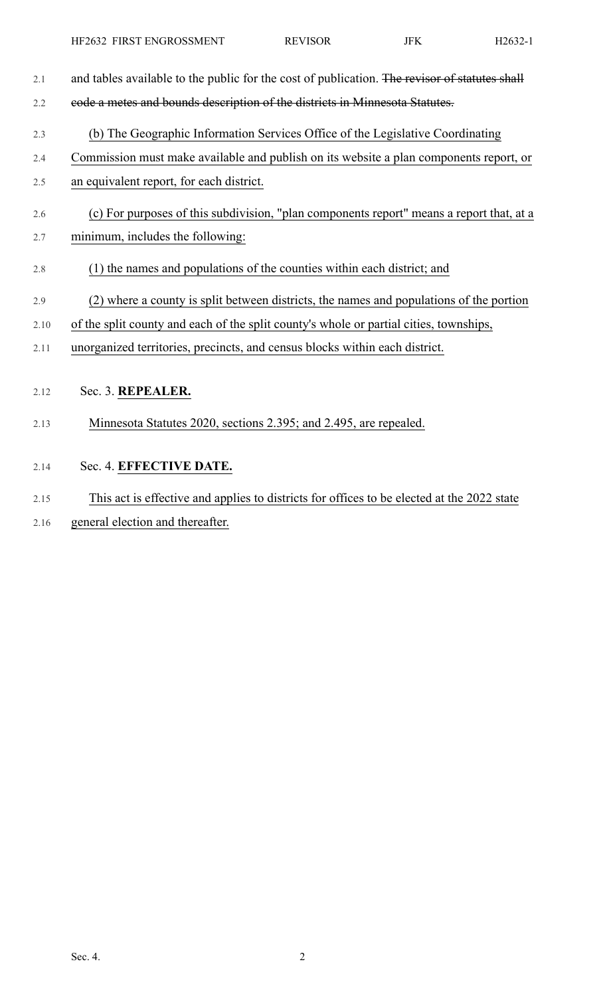| 2.1  | and tables available to the public for the cost of publication. The revisor of statutes shall |
|------|-----------------------------------------------------------------------------------------------|
| 2.2  | eode a metes and bounds description of the districts in Minnesota Statutes.                   |
| 2.3  | (b) The Geographic Information Services Office of the Legislative Coordinating                |
| 2.4  | Commission must make available and publish on its website a plan components report, or        |
| 2.5  | an equivalent report, for each district.                                                      |
| 2.6  | (c) For purposes of this subdivision, "plan components report" means a report that, at a      |
| 2.7  | minimum, includes the following:                                                              |
| 2.8  | (1) the names and populations of the counties within each district; and                       |
| 2.9  | (2) where a county is split between districts, the names and populations of the portion       |
| 2.10 | of the split county and each of the split county's whole or partial cities, townships,        |
| 2.11 | unorganized territories, precincts, and census blocks within each district.                   |
|      |                                                                                               |
| 2.12 | Sec. 3. REPEALER.                                                                             |
| 2.13 | Minnesota Statutes 2020, sections 2.395; and 2.495, are repealed.                             |
| 2.14 | Sec. 4. EFFECTIVE DATE.                                                                       |
| 2.15 | This act is effective and applies to districts for offices to be elected at the 2022 state    |

2.16 general election and thereafter.